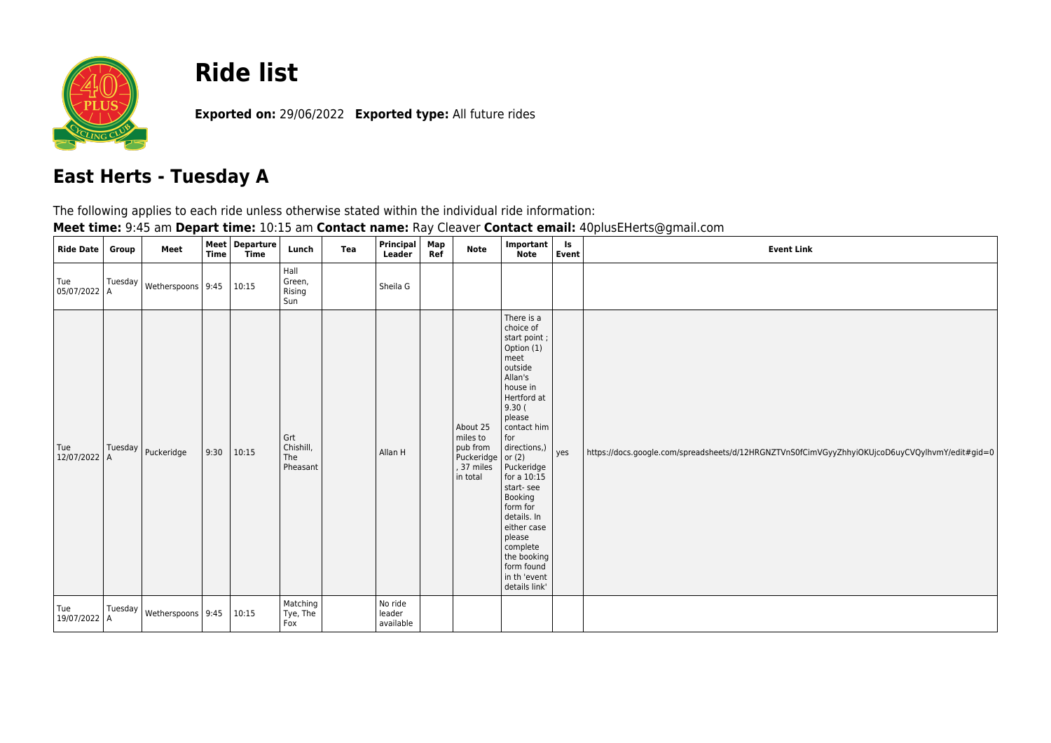

## **Ride list**

**Exported on:** 29/06/2022 **Exported type:** All future rides

## **East Herts - Tuesday A**

The following applies to each ride unless otherwise stated within the individual ride information:

| Meet time: 9:45 am Depart time: 10:15 am Contact name: Ray Cleaver Contact email: 40plusEHerts@gmail.com |
|----------------------------------------------------------------------------------------------------------|
|----------------------------------------------------------------------------------------------------------|

| <b>Ride Date</b>    | Group | Meet                                             | <b>Time</b> | Meet Departure<br><b>Time</b> | Lunch                               | Tea | Principal<br>Leader            | Map<br>Ref | Note                                                                     | Important<br><b>Note</b>                                                                                                                                                                                                                                                                                                                                                 | ls<br>Event | <b>Event Link</b>                                                                              |
|---------------------|-------|--------------------------------------------------|-------------|-------------------------------|-------------------------------------|-----|--------------------------------|------------|--------------------------------------------------------------------------|--------------------------------------------------------------------------------------------------------------------------------------------------------------------------------------------------------------------------------------------------------------------------------------------------------------------------------------------------------------------------|-------------|------------------------------------------------------------------------------------------------|
| Tue<br>05/07/2022 A |       | $\int_{0}^{T \text{uesday}}$ Wetherspoons   9:45 |             | 10:15                         | Hall<br>Green,<br>Rising<br>Sun     |     | Sheila G                       |            |                                                                          |                                                                                                                                                                                                                                                                                                                                                                          |             |                                                                                                |
| Tue<br>12/07/2022 A |       | Tuesday   Puckeridge                             | 9:30        | 10:15                         | Grt<br>Chishill,<br>The<br>Pheasant |     | Allan H                        |            | About 25<br>miles to<br>pub from<br>Puckeridge<br>, 37 miles<br>in total | There is a<br>choice of<br>start point;<br>Option (1)<br>meet<br>outside<br>Allan's<br>house in<br>Hertford at<br>9.30(<br>please<br>contact him<br>for<br>directions,)<br>or $(2)$<br>Puckeridge<br>for a $10:15$<br>start-see<br>Booking<br>form for<br>details. In<br>either case<br>please<br>complete<br>the booking<br>form found<br>in th 'event<br>details link' | yes         | https://docs.google.com/spreadsheets/d/12HRGNZTVnS0fCimVGyyZhhyiOKUjcoD6uyCVQylhvmY/edit#gid=0 |
| Tue<br>19/07/2022 A |       | Tuesday   Wetherspoons   9:45                    |             | 10:15                         | Matching<br>Tye, The<br>Fox         |     | No ride<br>leader<br>available |            |                                                                          |                                                                                                                                                                                                                                                                                                                                                                          |             |                                                                                                |